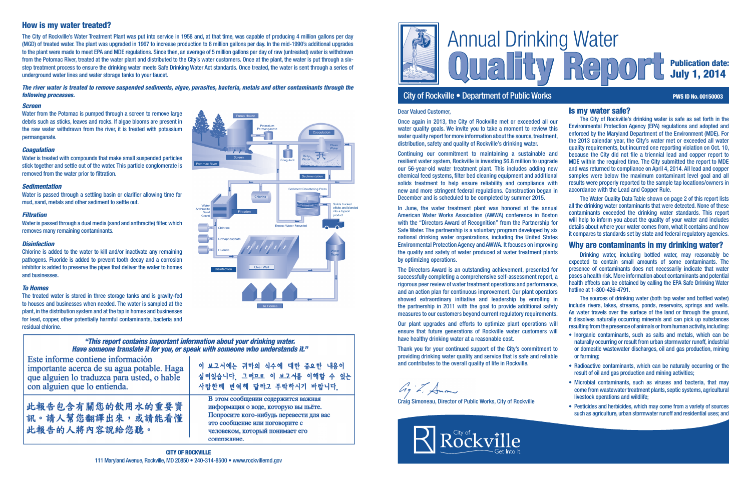

# City of Rockville • Department of Public Works **PWS ID No. 00150003** PWS ID No. 00150003

# Quality Report Publication date: July 1, 2014

### Is my water safe?

The City of Rockville's drinking water is safe as set forth in the Environmental Protection Agency (EPA) regulations and adopted and enforced by the Maryland Department of the Environment (MDE). For the 2013 calendar year, the City's water met or exceeded all water quality requirements, but incurred one reporting violation on Oct. 10, because the City did not file a triennial lead and copper report to MDE within the required time. The City submitted the report to MDE and was returned to compliance on April 4, 2014. All lead and copper samples were below the maximum contaminant level goal and all results were properly reported to the sample tap locations/owners in accordance with the Lead and Copper Rule.

The Water Quality Data Table shown on page 2 of this report lists all the drinking water contaminants that were detected. None of these contaminants exceeded the drinking water standards. This report will help to inform you about the quality of your water and includes details about where your water comes from, what it contains and how it compares to standards set by state and federal regulatory agencies.

## Why are contaminants in my drinking water?

Water from the Potomac is pumped through a screen to remove large debris such as sticks, leaves and rocks. If algae blooms are present in the raw water withdrawn from the river, it is treated with potassium permanganate.

> Drinking water, including bottled water, may reasonably be expected to contain small amounts of some contaminants. The presence of contaminants does not necessarily indicate that water poses a health risk. More information about contaminants and potential health effects can be obtained by calling the EPA Safe Drinking Water hotline at 1-800-426-4791.

> The sources of drinking water (both tap water and bottled water) include rivers, lakes, streams, ponds, reservoirs, springs and wells. As water travels over the surface of the land or through the ground, it dissolves naturally occurring minerals and can pick up substances resulting from the presence of animals or from human activity, including:

- Inorganic contaminants, such as salts and metals, which can be naturally occurring or result from urban stormwater runoff, industrial or domestic wastewater discharges, oil and gas production, mining or farming;
- Radioactive contaminants, which can be naturally occurring or the result of oil and gas production and mining activities;
- Microbial contaminants, such as viruses and bacteria, that may come from wastewater treatment plants, septic systems, agricultural livestock operations and wildlife;
- Pesticides and herbicides, which may come from a variety of sources such as agriculture, urban stormwater runoff and residential uses; and

### *Screen*

### *Coagulation*

Water is treated with compounds that make small suspended particles stick together and settle out of the water. This particle conglomerate is removed from the water prior to filtration.

### *Sedimentation*

Water is passed through a settling basin or clarifier allowing time for mud, sand, metals and other sediment to settle out.

### *Filtration*

Water is passed through a dual media (sand and anthracite) filter, which removes many remaining contaminants.

### *Disinfection*

Chlorine is added to the water to kill and/or inactivate any remaining pathogens. Fluoride is added to prevent tooth decay and a corrosion inhibitor is added to preserve the pipes that deliver the water to homes and businesses.

### *To Homes*

The treated water is stored in three storage tanks and is gravity-fed to houses and businesses when needed. The water is sampled at the plant, in the distribution system and at the tap in homes and businesses for lead, copper, other potentially harmful contaminants, bacteria and residual chlorine.

### "This report contains important information about your drinking water. Have someone translate it for you, or speak with someone who understands it."

**Disinfection** 

Este informe contiene información importante acerca de su agua potable. Haga que alguien lo traduzca para usted, o hable con alguien que lo entienda.

此報告包含有關您的飲用水的重要資 訊。請人幫您翻譯出來,或請能看懂 此報告的人將內容說給您聽。

이 보고서에는 귀하의 식수에 대한 중요한 내용이 이해할 수 있는 실려있습니다 그러므로 이 보고서를 사람한테 번역해 달라고 부탁하시기 바람니다

Ĥ

**Excess Water Recycled** 

**Sediment Dewatering Press** 

В этом сообщении содержится важная информация о воде, которую вы пьёте. Попросите кого-нибудь перевести для вас это сообщение или поговорите с человеком, который понимает его сопержание.

# How is my water treated?

The City of Rockville's Water Treatment Plant was put into service in 1958 and, at that time, was capable of producing 4 million gallons per day (MGD) of treated water. The plant was upgraded in 1967 to increase production to 8 million gallons per day. In the mid-1990's additional upgrades to the plant were made to meet EPA and MDE regulations. Since then, an average of 5 million gallons per day of raw (untreated) water is withdrawn from the Potomac River, treated at the water plant and distributed to the City's water customers. Once at the plant, the water is put through a sixstep treatment process to ensure the drinking water meets Safe Drinking Water Act standards. Once treated, the water is sent through a series of underground water lines and water storage tanks to your faucet.

*The river water is treated to remove suspended sediments, algae, parasites, bacteria, metals and other contaminants through the following processes.*

### Dear Valued Customer,

Once again in 2013, the City of Rockville met or exceeded all our water quality goals. We invite you to take a moment to review this water quality report for more information about the source, treatment, distribution, safety and quality of Rockville's drinking water.

Continuing our commitment to maintaining a sustainable and resilient water system, Rockville is investing \$6.8 million to upgrade our 56-year-old water treatment plant. This includes adding new chemical feed systems, filter bed cleaning equipment and additional solids treatment to help ensure reliability and compliance with new and more stringent federal regulations. Construction began in December and is scheduled to be completed by summer 2015.

In June, the water treatment plant was honored at the annual American Water Works Association (AWWA) conference in Boston with the "Directors Award of Recognition" from the Partnership for Safe Water. The partnership is a voluntary program developed by six national drinking water organizations, including the United States Environmental Protection Agency and AWWA. It focuses on improving the quality and safety of water produced at water treatment plants by optimizing operations.

The Directors Award is an outstanding achievement, presented for successfully completing a comprehensive self-assessment report, a rigorous peer review of water treatment operations and performance, and an action plan for continuous improvement. Our plant operators showed extraordinary initiative and leadership by enrolling in the partnership in 2011 with the goal to provide additional safety measures to our customers beyond current regulatory requirements. Our plant upgrades and efforts to optimize plant operations will

ensure that future generations of Rockville water customers will have healthy drinking water at a reasonable cost.

Thank you for your continued support of the City's commitment to providing drinking water quality and service that is safe and reliable and contributes to the overall quality of life in Rockville.

hight forma

Craig Simoneau, Director of Public Works, City of Rockville



Solids trucked offsite and blende into a topsoil product